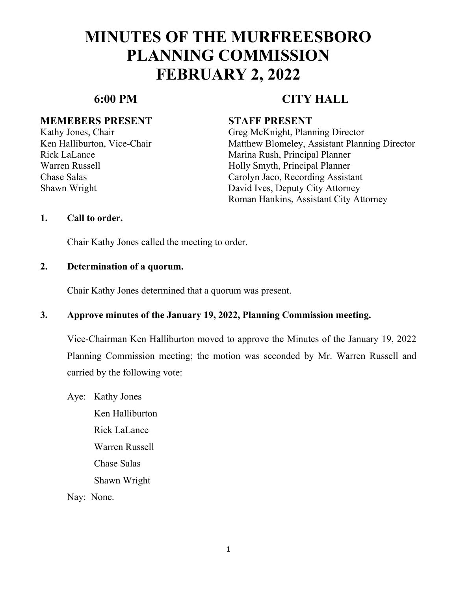#### **MEMEBERS PRESENT STAFF PRESENT**

# **6:00 PM CITY HALL**

Kathy Jones, Chair Greg McKnight, Planning Director Ken Halliburton, Vice-Chair Matthew Blomeley, Assistant Planning Director Rick LaLance Marina Rush, Principal Planner Warren Russell Holly Smyth, Principal Planner Chase Salas Carolyn Jaco, Recording Assistant Shawn Wright David Ives, Deputy City Attorney Roman Hankins, Assistant City Attorney

### **1. Call to order.**

Chair Kathy Jones called the meeting to order.

### **2. Determination of a quorum.**

Chair Kathy Jones determined that a quorum was present.

### **3. Approve minutes of the January 19, 2022, Planning Commission meeting.**

Vice-Chairman Ken Halliburton moved to approve the Minutes of the January 19, 2022 Planning Commission meeting; the motion was seconded by Mr. Warren Russell and carried by the following vote:

Aye: Kathy Jones Ken Halliburton Rick LaLance Warren Russell Chase Salas Shawn Wright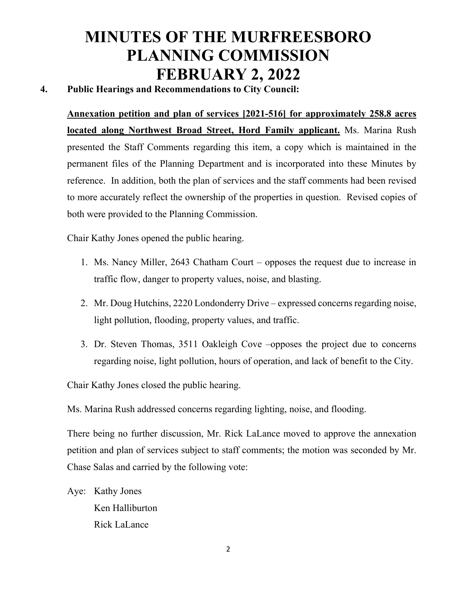## **4. Public Hearings and Recommendations to City Council:**

**Annexation petition and plan of services [2021-516] for approximately 258.8 acres located along Northwest Broad Street, Hord Family applicant.** Ms. Marina Rush presented the Staff Comments regarding this item, a copy which is maintained in the permanent files of the Planning Department and is incorporated into these Minutes by reference. In addition, both the plan of services and the staff comments had been revised to more accurately reflect the ownership of the properties in question. Revised copies of both were provided to the Planning Commission.

Chair Kathy Jones opened the public hearing.

- 1. Ms. Nancy Miller, 2643 Chatham Court opposes the request due to increase in traffic flow, danger to property values, noise, and blasting.
- 2. Mr. Doug Hutchins, 2220 Londonderry Drive expressed concerns regarding noise, light pollution, flooding, property values, and traffic.
- 3. Dr. Steven Thomas, 3511 Oakleigh Cove –opposes the project due to concerns regarding noise, light pollution, hours of operation, and lack of benefit to the City.

Chair Kathy Jones closed the public hearing.

Ms. Marina Rush addressed concerns regarding lighting, noise, and flooding.

There being no further discussion, Mr. Rick LaLance moved to approve the annexation petition and plan of services subject to staff comments; the motion was seconded by Mr. Chase Salas and carried by the following vote:

Aye: Kathy Jones Ken Halliburton Rick LaLance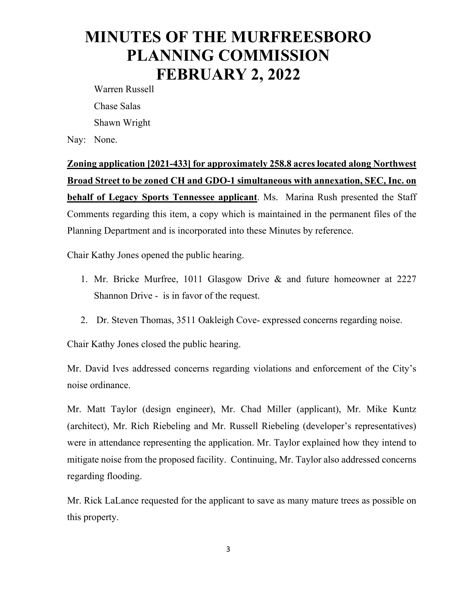Warren Russell Chase Salas Shawn Wright

Nay: None.

**Zoning application [2021-433] for approximately 258.8 acres located along Northwest Broad Street to be zoned CH and GDO-1 simultaneous with annexation, SEC, Inc. on behalf of Legacy Sports Tennessee applicant**. Ms. Marina Rush presented the Staff Comments regarding this item, a copy which is maintained in the permanent files of the Planning Department and is incorporated into these Minutes by reference.

Chair Kathy Jones opened the public hearing.

- 1. Mr. Bricke Murfree, 1011 Glasgow Drive & and future homeowner at 2227 Shannon Drive - is in favor of the request.
- 2. Dr. Steven Thomas, 3511 Oakleigh Cove- expressed concerns regarding noise.

Chair Kathy Jones closed the public hearing.

Mr. David Ives addressed concerns regarding violations and enforcement of the City's noise ordinance.

Mr. Matt Taylor (design engineer), Mr. Chad Miller (applicant), Mr. Mike Kuntz (architect), Mr. Rich Riebeling and Mr. Russell Riebeling (developer's representatives) were in attendance representing the application. Mr. Taylor explained how they intend to mitigate noise from the proposed facility. Continuing, Mr. Taylor also addressed concerns regarding flooding.

Mr. Rick LaLance requested for the applicant to save as many mature trees as possible on this property.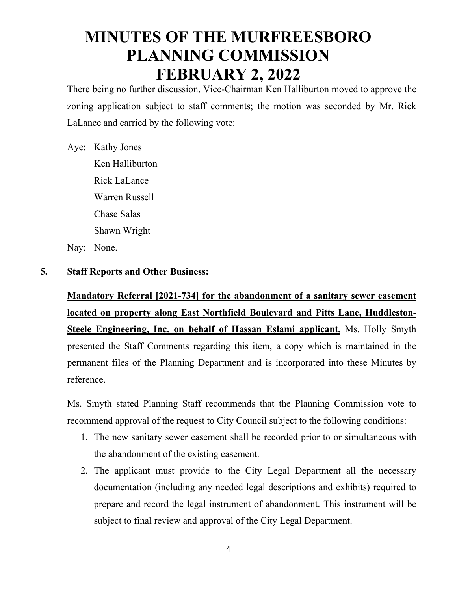There being no further discussion, Vice-Chairman Ken Halliburton moved to approve the zoning application subject to staff comments; the motion was seconded by Mr. Rick LaLance and carried by the following vote:

### Aye: Kathy Jones

Ken Halliburton Rick LaLance Warren Russell Chase Salas Shawn Wright Nay: None.

### **5. Staff Reports and Other Business:**

**Mandatory Referral [2021-734] for the abandonment of a sanitary sewer easement located on property along East Northfield Boulevard and Pitts Lane, Huddleston-Steele Engineering, Inc. on behalf of Hassan Eslami applicant.** Ms. Holly Smyth presented the Staff Comments regarding this item, a copy which is maintained in the permanent files of the Planning Department and is incorporated into these Minutes by reference.

Ms. Smyth stated Planning Staff recommends that the Planning Commission vote to recommend approval of the request to City Council subject to the following conditions:

- 1. The new sanitary sewer easement shall be recorded prior to or simultaneous with the abandonment of the existing easement.
- 2. The applicant must provide to the City Legal Department all the necessary documentation (including any needed legal descriptions and exhibits) required to prepare and record the legal instrument of abandonment. This instrument will be subject to final review and approval of the City Legal Department.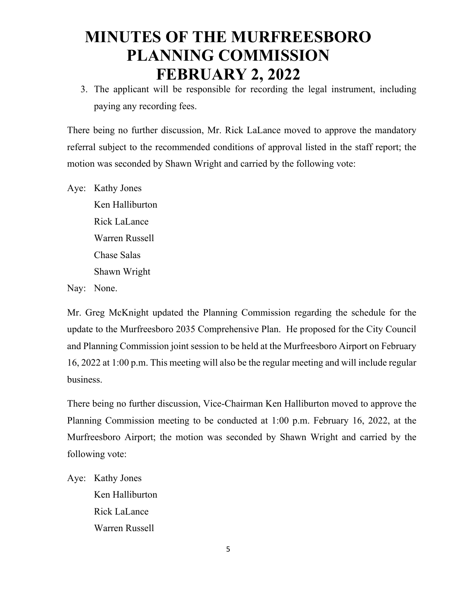3. The applicant will be responsible for recording the legal instrument, including paying any recording fees.

There being no further discussion, Mr. Rick LaLance moved to approve the mandatory referral subject to the recommended conditions of approval listed in the staff report; the motion was seconded by Shawn Wright and carried by the following vote:

Aye: Kathy Jones Ken Halliburton Rick LaLance Warren Russell Chase Salas Shawn Wright

Nay: None.

Mr. Greg McKnight updated the Planning Commission regarding the schedule for the update to the Murfreesboro 2035 Comprehensive Plan. He proposed for the City Council and Planning Commission joint session to be held at the Murfreesboro Airport on February 16, 2022 at 1:00 p.m. This meeting will also be the regular meeting and will include regular business.

There being no further discussion, Vice-Chairman Ken Halliburton moved to approve the Planning Commission meeting to be conducted at 1:00 p.m. February 16, 2022, at the Murfreesboro Airport; the motion was seconded by Shawn Wright and carried by the following vote:

Aye: Kathy Jones Ken Halliburton Rick LaLance Warren Russell